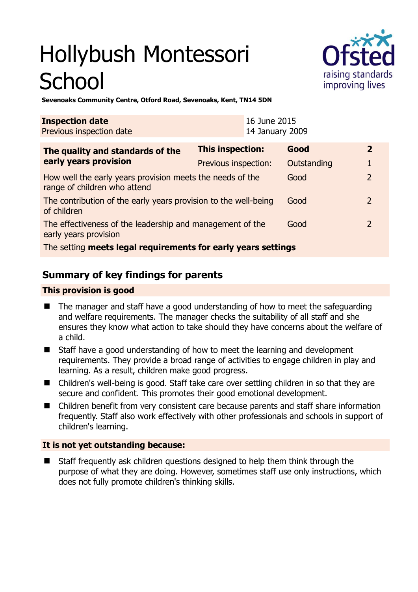# Hollybush Montessori **School**



**Sevenoaks Community Centre, Otford Road, Sevenoaks, Kent, TN14 5DN** 

| <b>Inspection date</b><br>Previous inspection date                                        |                         | 16 June 2015<br>14 January 2009 |             |                |
|-------------------------------------------------------------------------------------------|-------------------------|---------------------------------|-------------|----------------|
| The quality and standards of the<br>early years provision                                 | <b>This inspection:</b> |                                 | Good        | $\overline{2}$ |
|                                                                                           | Previous inspection:    |                                 | Outstanding |                |
| How well the early years provision meets the needs of the<br>range of children who attend |                         |                                 | Good        | $\overline{2}$ |
| The contribution of the early years provision to the well-being<br>of children            |                         |                                 | Good        | $\overline{2}$ |
| The effectiveness of the leadership and management of the<br>early years provision        |                         |                                 | Good        | 2              |
| The setting meets legal requirements for early years settings                             |                         |                                 |             |                |

## **Summary of key findings for parents**

#### **This provision is good**

- The manager and staff have a good understanding of how to meet the safeguarding and welfare requirements. The manager checks the suitability of all staff and she ensures they know what action to take should they have concerns about the welfare of a child.
- Staff have a good understanding of how to meet the learning and development requirements. They provide a broad range of activities to engage children in play and learning. As a result, children make good progress.
- Children's well-being is good. Staff take care over settling children in so that they are secure and confident. This promotes their good emotional development.
- Children benefit from very consistent care because parents and staff share information frequently. Staff also work effectively with other professionals and schools in support of children's learning.

#### **It is not yet outstanding because:**

 Staff frequently ask children questions designed to help them think through the purpose of what they are doing. However, sometimes staff use only instructions, which does not fully promote children's thinking skills.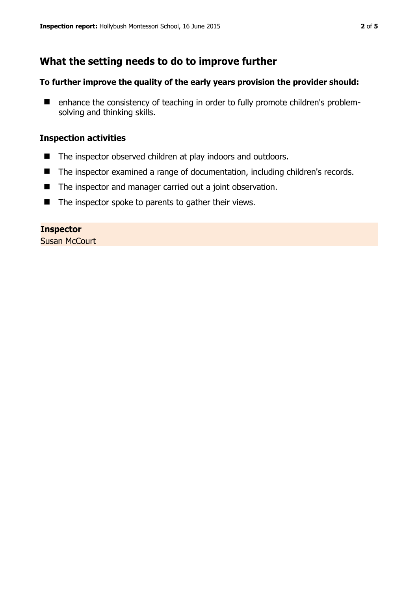# **What the setting needs to do to improve further**

#### **To further improve the quality of the early years provision the provider should:**

■ enhance the consistency of teaching in order to fully promote children's problemsolving and thinking skills.

#### **Inspection activities**

- The inspector observed children at play indoors and outdoors.
- The inspector examined a range of documentation, including children's records.
- The inspector and manager carried out a joint observation.
- $\blacksquare$  The inspector spoke to parents to gather their views.

#### **Inspector**

Susan McCourt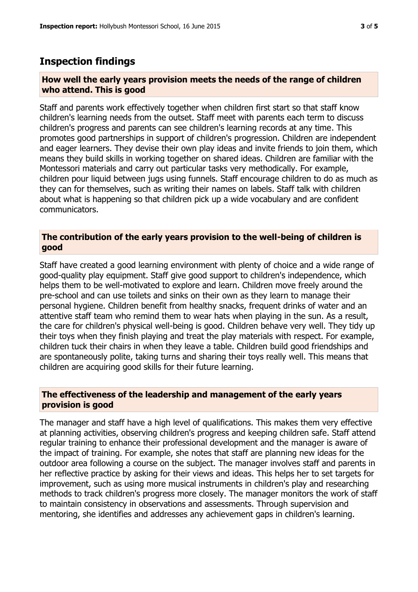#### **Inspection findings**

#### **How well the early years provision meets the needs of the range of children who attend. This is good**

Staff and parents work effectively together when children first start so that staff know children's learning needs from the outset. Staff meet with parents each term to discuss children's progress and parents can see children's learning records at any time. This promotes good partnerships in support of children's progression. Children are independent and eager learners. They devise their own play ideas and invite friends to join them, which means they build skills in working together on shared ideas. Children are familiar with the Montessori materials and carry out particular tasks very methodically. For example, children pour liquid between jugs using funnels. Staff encourage children to do as much as they can for themselves, such as writing their names on labels. Staff talk with children about what is happening so that children pick up a wide vocabulary and are confident communicators.

#### **The contribution of the early years provision to the well-being of children is good**

Staff have created a good learning environment with plenty of choice and a wide range of good-quality play equipment. Staff give good support to children's independence, which helps them to be well-motivated to explore and learn. Children move freely around the pre-school and can use toilets and sinks on their own as they learn to manage their personal hygiene. Children benefit from healthy snacks, frequent drinks of water and an attentive staff team who remind them to wear hats when playing in the sun. As a result, the care for children's physical well-being is good. Children behave very well. They tidy up their toys when they finish playing and treat the play materials with respect. For example, children tuck their chairs in when they leave a table. Children build good friendships and are spontaneously polite, taking turns and sharing their toys really well. This means that children are acquiring good skills for their future learning.

#### **The effectiveness of the leadership and management of the early years provision is good**

The manager and staff have a high level of qualifications. This makes them very effective at planning activities, observing children's progress and keeping children safe. Staff attend regular training to enhance their professional development and the manager is aware of the impact of training. For example, she notes that staff are planning new ideas for the outdoor area following a course on the subject. The manager involves staff and parents in her reflective practice by asking for their views and ideas. This helps her to set targets for improvement, such as using more musical instruments in children's play and researching methods to track children's progress more closely. The manager monitors the work of staff to maintain consistency in observations and assessments. Through supervision and mentoring, she identifies and addresses any achievement gaps in children's learning.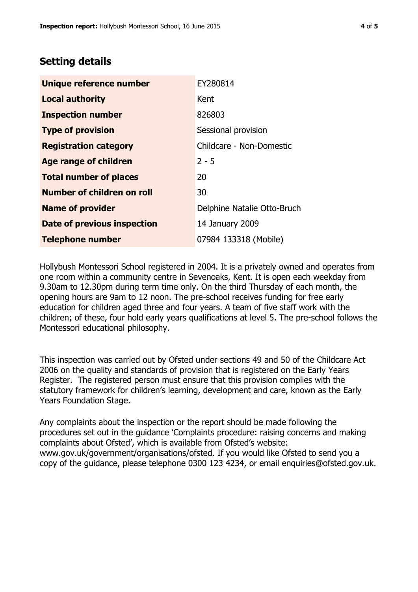### **Setting details**

| Unique reference number            | EY280814                    |  |  |
|------------------------------------|-----------------------------|--|--|
| <b>Local authority</b>             | Kent                        |  |  |
| <b>Inspection number</b>           | 826803                      |  |  |
| <b>Type of provision</b>           | Sessional provision         |  |  |
| <b>Registration category</b>       | Childcare - Non-Domestic    |  |  |
| Age range of children              | $2 - 5$                     |  |  |
| <b>Total number of places</b>      | 20                          |  |  |
| Number of children on roll         | 30                          |  |  |
| <b>Name of provider</b>            | Delphine Natalie Otto-Bruch |  |  |
| <b>Date of previous inspection</b> | 14 January 2009             |  |  |
| <b>Telephone number</b>            | 07984 133318 (Mobile)       |  |  |

Hollybush Montessori School registered in 2004. It is a privately owned and operates from one room within a community centre in Sevenoaks, Kent. It is open each weekday from 9.30am to 12.30pm during term time only. On the third Thursday of each month, the opening hours are 9am to 12 noon. The pre-school receives funding for free early education for children aged three and four years. A team of five staff work with the children; of these, four hold early years qualifications at level 5. The pre-school follows the Montessori educational philosophy.

This inspection was carried out by Ofsted under sections 49 and 50 of the Childcare Act 2006 on the quality and standards of provision that is registered on the Early Years Register. The registered person must ensure that this provision complies with the statutory framework for children's learning, development and care, known as the Early Years Foundation Stage.

Any complaints about the inspection or the report should be made following the procedures set out in the guidance 'Complaints procedure: raising concerns and making complaints about Ofsted', which is available from Ofsted's website: www.gov.uk/government/organisations/ofsted. If you would like Ofsted to send you a copy of the guidance, please telephone 0300 123 4234, or email enquiries@ofsted.gov.uk.